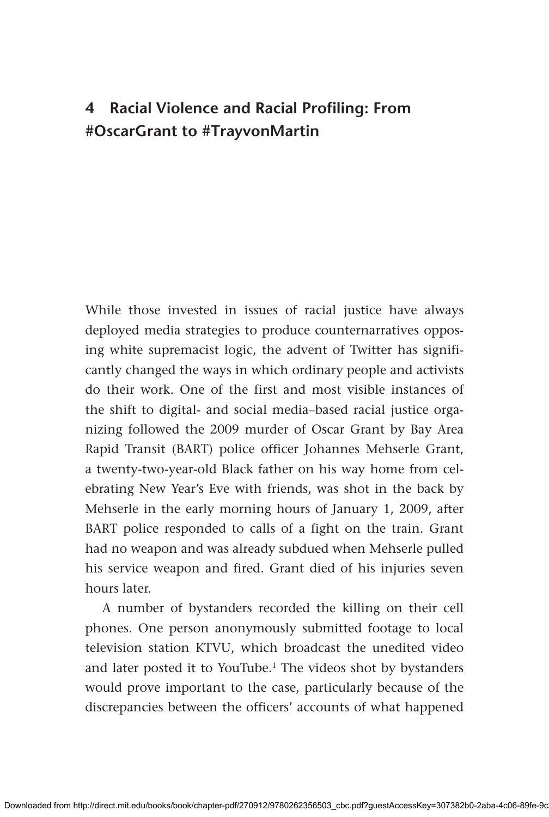# **4 Racial Violence and Racial Profiling: From #OscarGrant to #TrayvonMartin**

While those invested in issues of racial justice have always deployed media strategies to produce counternarratives opposing white supremacist logic, the advent of Twitter has significantly changed the ways in which ordinary people and activists do their work. One of the first and most visible instances of the shift to digital- and social media–based racial justice organizing followed the 2009 murder of Oscar Grant by Bay Area Rapid Transit (BART) police officer Johannes Mehserle Grant, a twenty-two-year-old Black father on his way home from celebrating New Year's Eve with friends, was shot in the back by Mehserle in the early morning hours of January 1, 2009, after BART police responded to calls of a fight on the train. Grant had no weapon and was already subdued when Mehserle pulled his service weapon and fired. Grant died of his injuries seven hours later.

A number of bystanders recorded the killing on their cell phones. One person anonymously submitted footage to local television station KTVU, which broadcast the unedited video and later posted it to YouTube.<sup>1</sup> The videos shot by bystanders would prove important to the case, particularly because of the discrepancies between the officers' accounts of what happened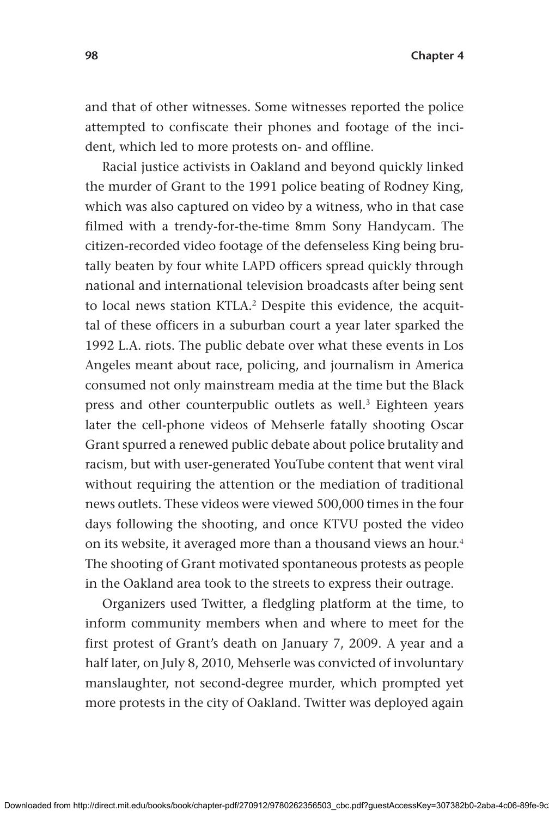**98 Chapter 4**

and that of other witnesses. Some witnesses reported the police attempted to confiscate their phones and footage of the incident, which led to more protests on- and offline.

Racial justice activists in Oakland and beyond quickly linked the murder of Grant to the 1991 police beating of Rodney King, which was also captured on video by a witness, who in that case filmed with a trendy-for-the-time 8mm Sony Handycam. The citizen-recorded video footage of the defenseless King being brutally beaten by four white LAPD officers spread quickly through national and international television broadcasts after being sent to local news station KTLA.<sup>2</sup> Despite this evidence, the acquittal of these officers in a suburban court a year later sparked the 1992 L.A. riots. The public debate over what these events in Los Angeles meant about race, policing, and journalism in America consumed not only mainstream media at the time but the Black press and other counterpublic outlets as well.<sup>3</sup> Eighteen years later the cell-phone videos of Mehserle fatally shooting Oscar Grant spurred a renewed public debate about police brutality and racism, but with user-generated YouTube content that went viral without requiring the attention or the mediation of traditional news outlets. These videos were viewed 500,000 times in the four days following the shooting, and once KTVU posted the video on its website, it averaged more than a thousand views an hour.<sup>4</sup> The shooting of Grant motivated spontaneous protests as people in the Oakland area took to the streets to express their outrage.

Organizers used Twitter, a fledgling platform at the time, to inform community members when and where to meet for the first protest of Grant's death on January 7, 2009. A year and a half later, on July 8, 2010, Mehserle was convicted of involuntary manslaughter, not second-degree murder, which prompted yet more protests in the city of Oakland. Twitter was deployed again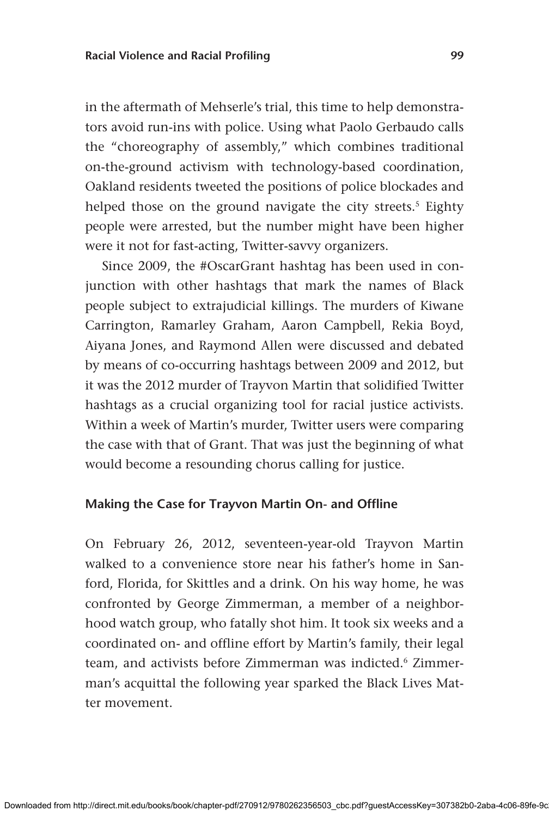in the aftermath of Mehserle's trial, this time to help demonstrators avoid run-ins with police. Using what Paolo Gerbaudo calls the "choreography of assembly," which combines traditional on-the-ground activism with technology-based coordination, Oakland residents tweeted the positions of police blockades and helped those on the ground navigate the city streets.<sup>5</sup> Eighty people were arrested, but the number might have been higher were it not for fast-acting, Twitter-savvy organizers.

Since 2009, the #OscarGrant hashtag has been used in conjunction with other hashtags that mark the names of Black people subject to extrajudicial killings. The murders of Kiwane Carrington, Ramarley Graham, Aaron Campbell, Rekia Boyd, Aiyana Jones, and Raymond Allen were discussed and debated by means of co-occurring hashtags between 2009 and 2012, but it was the 2012 murder of Trayvon Martin that solidified Twitter hashtags as a crucial organizing tool for racial justice activists. Within a week of Martin's murder, Twitter users were comparing the case with that of Grant. That was just the beginning of what would become a resounding chorus calling for justice.

#### **Making the Case for Trayvon Martin On- and Offline**

On February 26, 2012, seventeen-year-old Trayvon Martin walked to a convenience store near his father's home in Sanford, Florida, for Skittles and a drink. On his way home, he was confronted by George Zimmerman, a member of a neighborhood watch group, who fatally shot him. It took six weeks and a coordinated on- and offline effort by Martin's family, their legal team, and activists before Zimmerman was indicted.<sup>6</sup> Zimmerman's acquittal the following year sparked the Black Lives Matter movement.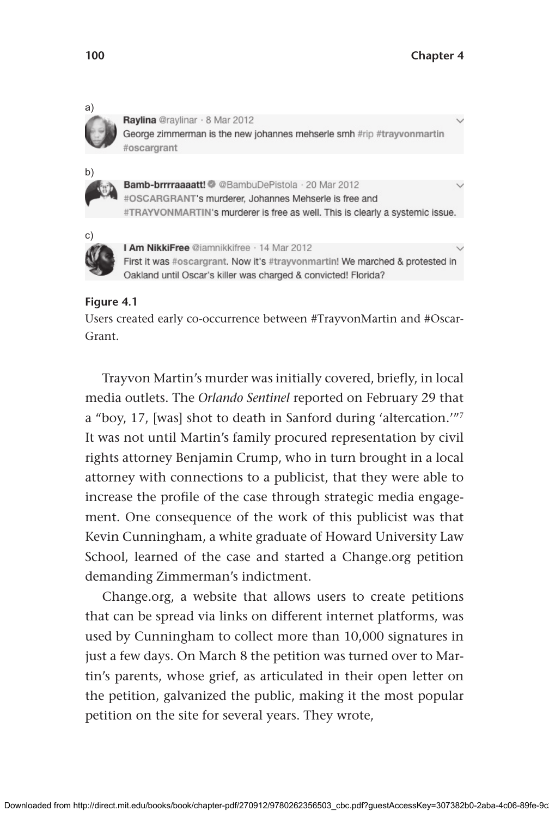

Raylina @raylinar · 8 Mar 2012 George zimmerman is the new johannes mehserle smh #rip #trayvonmartin #oscargrant



Bamb-brrrraaaatt! @ @BambuDePistola . 20 Mar 2012 #OSCARGRANT's murderer, Johannes Mehserle is free and #TRAYVONMARTIN's murderer is free as well. This is clearly a systemic issue.



I Am NikkiFree @iamnikkifree · 14 Mar 2012 First it was #oscargrant. Now it's #trayvonmartin! We marched & protested in Oakland until Oscar's killer was charged & convicted! Florida?

### **Figure 4.1**

Users created early co-occurrence between #TrayvonMartin and #Oscar-Grant.

Trayvon Martin's murder was initially covered, briefly, in local media outlets. The *Orlando Sentinel* reported on February 29 that a "boy, 17, [was] shot to death in Sanford during 'altercation.'"7 It was not until Martin's family procured representation by civil rights attorney Benjamin Crump, who in turn brought in a local attorney with connections to a publicist, that they were able to increase the profile of the case through strategic media engagement. One consequence of the work of this publicist was that Kevin Cunningham, a white graduate of Howard University Law School, learned of the case and started a [Change.org](http://Change.org) petition demanding Zimmerman's indictment.

[Change.org](http://Change.org), a website that allows users to create petitions that can be spread via links on different internet platforms, was used by Cunningham to collect more than 10,000 signatures in just a few days. On March 8 the petition was turned over to Martin's parents, whose grief, as articulated in their open letter on the petition, galvanized the public, making it the most popular petition on the site for several years. They wrote,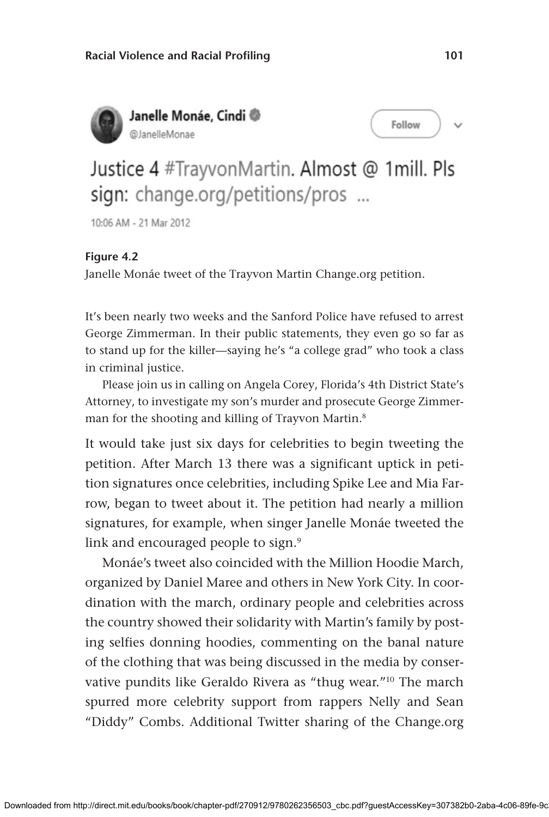

Follow

# Justice 4 #TrayvonMartin. Almost @ 1 mill. Pls sign: change.org/petitions/pros ...

10:06 AM - 21 Mar 2012

#### **Figure 4.2**

Janelle Monáe tweet of the Trayvon Martin [Change.org](http://Change.org) petition.

It's been nearly two weeks and the Sanford Police have refused to arrest George Zimmerman. In their public statements, they even go so far as to stand up for the killer—saying he's "a college grad" who took a class in criminal justice.

Please join us in calling on Angela Corey, Florida's 4th District State's Attorney, to investigate my son's murder and prosecute George Zimmerman for the shooting and killing of Trayvon Martin.8

It would take just six days for celebrities to begin tweeting the petition. After March 13 there was a significant uptick in petition signatures once celebrities, including Spike Lee and Mia Farrow, began to tweet about it. The petition had nearly a million signatures, for example, when singer Janelle Monáe tweeted the link and encouraged people to sign.<sup>9</sup>

Monáe's tweet also coincided with the Million Hoodie March, organized by Daniel Maree and others in New York City. In coordination with the march, ordinary people and celebrities across the country showed their solidarity with Martin's family by posting selfies donning hoodies, commenting on the banal nature of the clothing that was being discussed in the media by conservative pundits like Geraldo Rivera as "thug wear."10 The march spurred more celebrity support from rappers Nelly and Sean "Diddy" Combs. Additional Twitter sharing of the [Change.org](http://Change.org)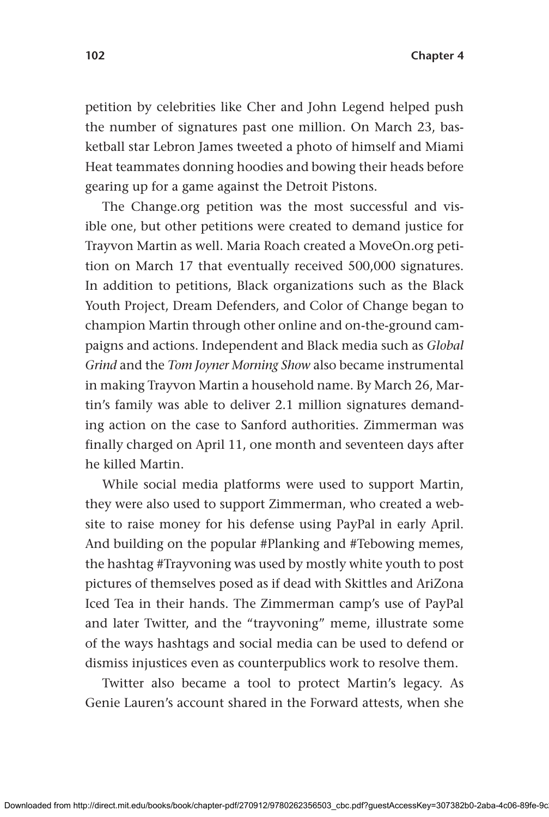petition by celebrities like Cher and John Legend helped push the number of signatures past one million. On March 23, basketball star Lebron James tweeted a photo of himself and Miami Heat teammates donning hoodies and bowing their heads before gearing up for a game against the Detroit Pistons.

The [Change.org](http://Change.org) petition was the most successful and visible one, but other petitions were created to demand justice for Trayvon Martin as well. Maria Roach created a [MoveOn.org](http://MoveOn.org) petition on March 17 that eventually received 500,000 signatures. In addition to petitions, Black organizations such as the Black Youth Project, Dream Defenders, and Color of Change began to champion Martin through other online and on-the-ground campaigns and actions. Independent and Black media such as *Global Grind* and the *Tom Joyner Morning Show* also became instrumental in making Trayvon Martin a household name. By March 26, Martin's family was able to deliver 2.1 million signatures demanding action on the case to Sanford authorities. Zimmerman was finally charged on April 11, one month and seventeen days after he killed Martin.

While social media platforms were used to support Martin, they were also used to support Zimmerman, who created a website to raise money for his defense using PayPal in early April. And building on the popular #Planking and #Tebowing memes, the hashtag #Trayvoning was used by mostly white youth to post pictures of themselves posed as if dead with Skittles and AriZona Iced Tea in their hands. The Zimmerman camp's use of PayPal and later Twitter, and the "trayvoning" meme, illustrate some of the ways hashtags and social media can be used to defend or dismiss injustices even as counterpublics work to resolve them.

Twitter also became a tool to protect Martin's legacy. As Genie Lauren's account shared in the Forward attests, when she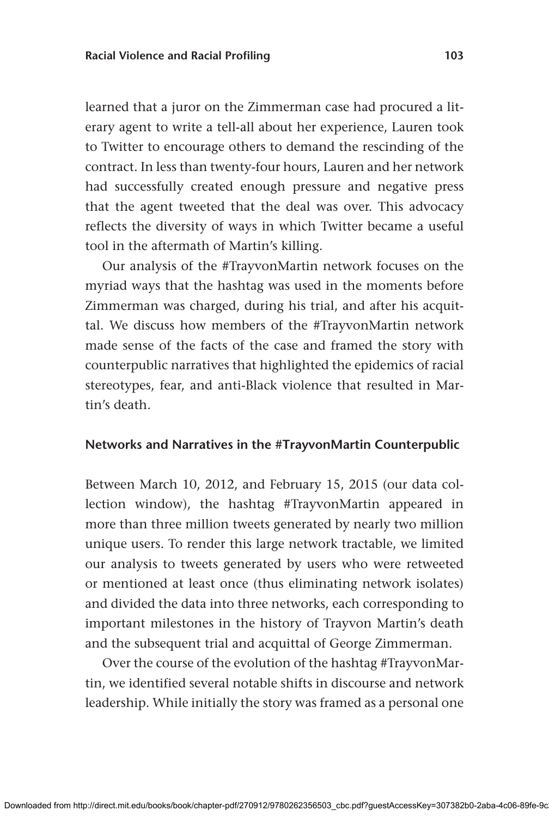learned that a juror on the Zimmerman case had procured a literary agent to write a tell-all about her experience, Lauren took to Twitter to encourage others to demand the rescinding of the contract. In less than twenty-four hours, Lauren and her network had successfully created enough pressure and negative press that the agent tweeted that the deal was over. This advocacy reflects the diversity of ways in which Twitter became a useful tool in the aftermath of Martin's killing.

Our analysis of the #TrayvonMartin network focuses on the myriad ways that the hashtag was used in the moments before Zimmerman was charged, during his trial, and after his acquittal. We discuss how members of the #TrayvonMartin network made sense of the facts of the case and framed the story with counterpublic narratives that highlighted the epidemics of racial stereotypes, fear, and anti-Black violence that resulted in Martin's death.

#### **Networks and Narratives in the #TrayvonMartin Counterpublic**

Between March 10, 2012, and February 15, 2015 (our data collection window), the hashtag #TrayvonMartin appeared in more than three million tweets generated by nearly two million unique users. To render this large network tractable, we limited our analysis to tweets generated by users who were retweeted or mentioned at least once (thus eliminating network isolates) and divided the data into three networks, each corresponding to important milestones in the history of Trayvon Martin's death and the subsequent trial and acquittal of George Zimmerman.

Over the course of the evolution of the hashtag #TrayvonMartin, we identified several notable shifts in discourse and network leadership. While initially the story was framed as a personal one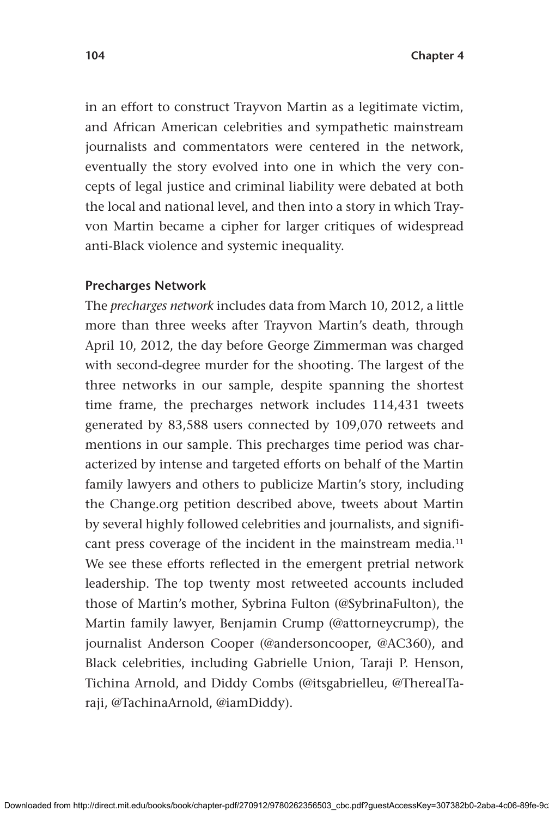in an effort to construct Trayvon Martin as a legitimate victim, and African American celebrities and sympathetic mainstream journalists and commentators were centered in the network, eventually the story evolved into one in which the very concepts of legal justice and criminal liability were debated at both the local and national level, and then into a story in which Trayvon Martin became a cipher for larger critiques of widespread anti-Black violence and systemic inequality.

#### **Precharges Network**

The *precharges network* includes data from March 10, 2012, a little more than three weeks after Trayvon Martin's death, through April 10, 2012, the day before George Zimmerman was charged with second-degree murder for the shooting. The largest of the three networks in our sample, despite spanning the shortest time frame, the precharges network includes 114,431 tweets generated by 83,588 users connected by 109,070 retweets and mentions in our sample. This precharges time period was characterized by intense and targeted efforts on behalf of the Martin family lawyers and others to publicize Martin's story, including the [Change.org](http://Change.org) petition described above, tweets about Martin by several highly followed celebrities and journalists, and significant press coverage of the incident in the mainstream media.<sup>11</sup> We see these efforts reflected in the emergent pretrial network leadership. The top twenty most retweeted accounts included those of Martin's mother, Sybrina Fulton (@SybrinaFulton), the Martin family lawyer, Benjamin Crump (@attorneycrump), the journalist Anderson Cooper (@andersoncooper, @AC360), and Black celebrities, including Gabrielle Union, Taraji P. Henson, Tichina Arnold, and Diddy Combs (@itsgabrielleu, @TherealTaraji, @TachinaArnold, @iamDiddy).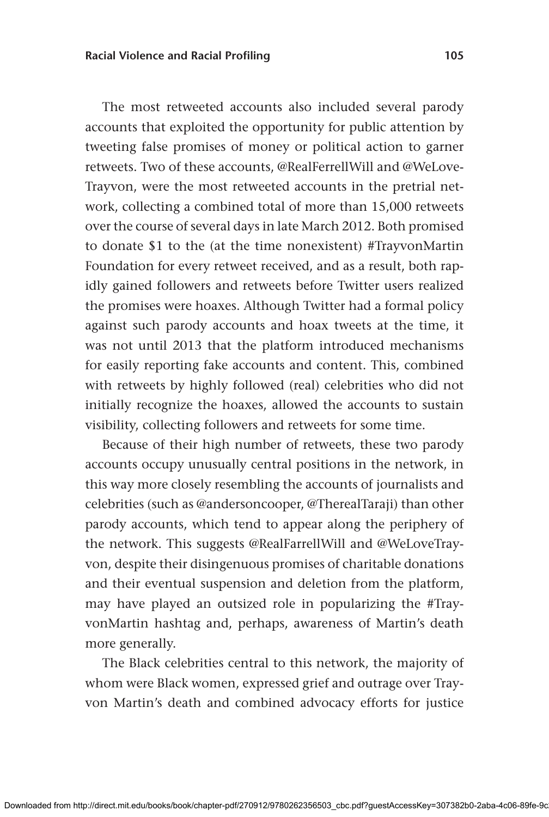The most retweeted accounts also included several parody accounts that exploited the opportunity for public attention by tweeting false promises of money or political action to garner retweets. Two of these accounts, @RealFerrellWill and @WeLove-Trayvon, were the most retweeted accounts in the pretrial network, collecting a combined total of more than 15,000 retweets over the course of several days in late March 2012. Both promised to donate \$1 to the (at the time nonexistent) #TrayvonMartin Foundation for every retweet received, and as a result, both rapidly gained followers and retweets before Twitter users realized the promises were hoaxes. Although Twitter had a formal policy against such parody accounts and hoax tweets at the time, it was not until 2013 that the platform introduced mechanisms for easily reporting fake accounts and content. This, combined with retweets by highly followed (real) celebrities who did not initially recognize the hoaxes, allowed the accounts to sustain visibility, collecting followers and retweets for some time.

Because of their high number of retweets, these two parody accounts occupy unusually central positions in the network, in this way more closely resembling the accounts of journalists and celebrities (such as @andersoncooper, @TherealTaraji) than other parody accounts, which tend to appear along the periphery of the network. This suggests @RealFarrellWill and @WeLoveTrayvon, despite their disingenuous promises of charitable donations and their eventual suspension and deletion from the platform, may have played an outsized role in popularizing the #TrayvonMartin hashtag and, perhaps, awareness of Martin's death more generally.

The Black celebrities central to this network, the majority of whom were Black women, expressed grief and outrage over Trayvon Martin's death and combined advocacy efforts for justice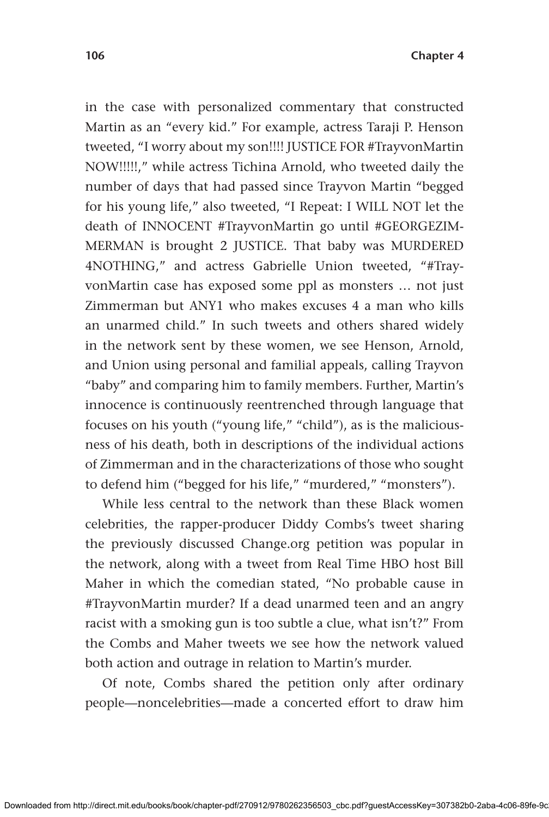in the case with personalized commentary that constructed Martin as an "every kid." For example, actress Taraji P. Henson tweeted, "I worry about my son!!!! JUSTICE FOR #TrayvonMartin NOW!!!!!," while actress Tichina Arnold, who tweeted daily the number of days that had passed since Trayvon Martin "begged for his young life," also tweeted, "I Repeat: I WILL NOT let the death of INNOCENT #TrayvonMartin go until #GEORGEZIM-MERMAN is brought 2 JUSTICE. That baby was MURDERED 4NOTHING," and actress Gabrielle Union tweeted, "#TrayvonMartin case has exposed some ppl as monsters … not just Zimmerman but ANY1 who makes excuses 4 a man who kills an unarmed child." In such tweets and others shared widely in the network sent by these women, we see Henson, Arnold, and Union using personal and familial appeals, calling Trayvon "baby" and comparing him to family members. Further, Martin's innocence is continuously reentrenched through language that focuses on his youth ("young life," "child"), as is the maliciousness of his death, both in descriptions of the individual actions of Zimmerman and in the characterizations of those who sought to defend him ("begged for his life," "murdered," "monsters").

While less central to the network than these Black women celebrities, the rapper-producer Diddy Combs's tweet sharing the previously discussed [Change.org](http://Change.org) petition was popular in the network, along with a tweet from Real Time HBO host Bill Maher in which the comedian stated, "No probable cause in #TrayvonMartin murder? If a dead unarmed teen and an angry racist with a smoking gun is too subtle a clue, what isn't?" From the Combs and Maher tweets we see how the network valued both action and outrage in relation to Martin's murder.

Of note, Combs shared the petition only after ordinary people—noncelebrities—made a concerted effort to draw him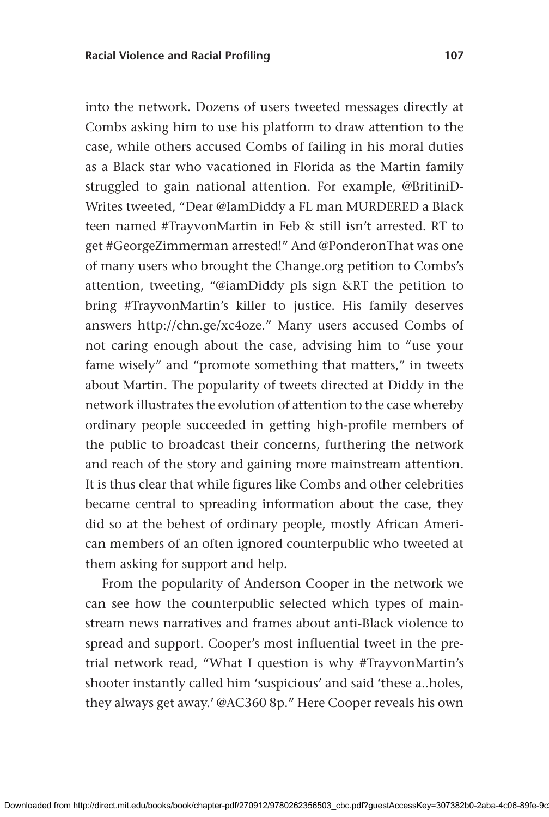into the network. Dozens of users tweeted messages directly at Combs asking him to use his platform to draw attention to the case, while others accused Combs of failing in his moral duties as a Black star who vacationed in Florida as the Martin family struggled to gain national attention. For example, @BritiniD-Writes tweeted, "Dear @IamDiddy a FL man MURDERED a Black teen named #TrayvonMartin in Feb & still isn't arrested. RT to get #GeorgeZimmerman arrested!" And @PonderonThat was one of many users who brought the [Change.org](http://Change.org) petition to Combs's attention, tweeting, "@iamDiddy pls sign &RT the petition to bring #TrayvonMartin's killer to justice. His family deserves answers <http://chn.ge/xc4oze>." Many users accused Combs of not caring enough about the case, advising him to "use your fame wisely" and "promote something that matters," in tweets about Martin. The popularity of tweets directed at Diddy in the network illustrates the evolution of attention to the case whereby ordinary people succeeded in getting high-profile members of the public to broadcast their concerns, furthering the network and reach of the story and gaining more mainstream attention. It is thus clear that while figures like Combs and other celebrities became central to spreading information about the case, they did so at the behest of ordinary people, mostly African American members of an often ignored counterpublic who tweeted at them asking for support and help.

From the popularity of Anderson Cooper in the network we can see how the counterpublic selected which types of mainstream news narratives and frames about anti-Black violence to spread and support. Cooper's most influential tweet in the pretrial network read, "What I question is why #TrayvonMartin's shooter instantly called him 'suspicious' and said 'these a..holes, they always get away.' @AC360 8p." Here Cooper reveals his own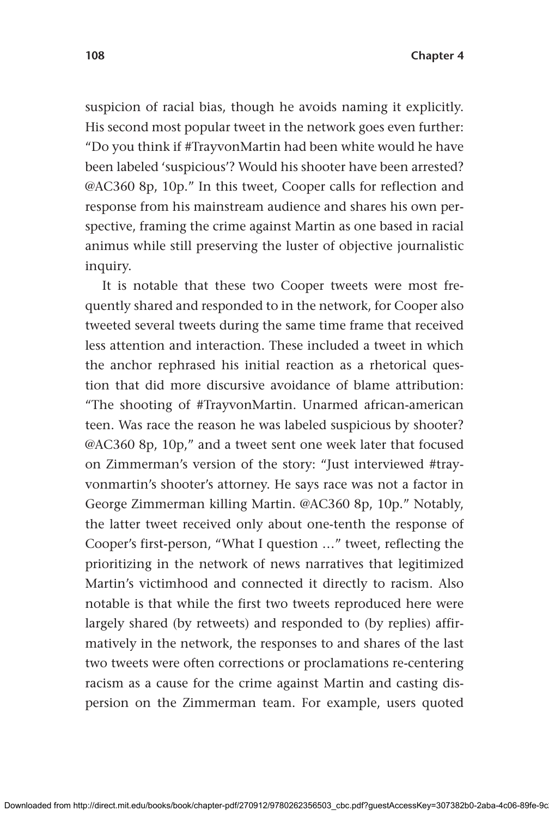**108 Chapter 4**

suspicion of racial bias, though he avoids naming it explicitly. His second most popular tweet in the network goes even further: "Do you think if #TrayvonMartin had been white would he have been labeled 'suspicious'? Would his shooter have been arrested? @AC360 8p, 10p." In this tweet, Cooper calls for reflection and response from his mainstream audience and shares his own perspective, framing the crime against Martin as one based in racial animus while still preserving the luster of objective journalistic inquiry.

It is notable that these two Cooper tweets were most frequently shared and responded to in the network, for Cooper also tweeted several tweets during the same time frame that received less attention and interaction. These included a tweet in which the anchor rephrased his initial reaction as a rhetorical question that did more discursive avoidance of blame attribution: "The shooting of #TrayvonMartin. Unarmed african-american teen. Was race the reason he was labeled suspicious by shooter? @AC360 8p, 10p," and a tweet sent one week later that focused on Zimmerman's version of the story: "Just interviewed #trayvonmartin's shooter's attorney. He says race was not a factor in George Zimmerman killing Martin. @AC360 8p, 10p." Notably, the latter tweet received only about one-tenth the response of Cooper's first-person, "What I question …" tweet, reflecting the prioritizing in the network of news narratives that legitimized Martin's victimhood and connected it directly to racism. Also notable is that while the first two tweets reproduced here were largely shared (by retweets) and responded to (by replies) affirmatively in the network, the responses to and shares of the last two tweets were often corrections or proclamations re-centering racism as a cause for the crime against Martin and casting dispersion on the Zimmerman team. For example, users quoted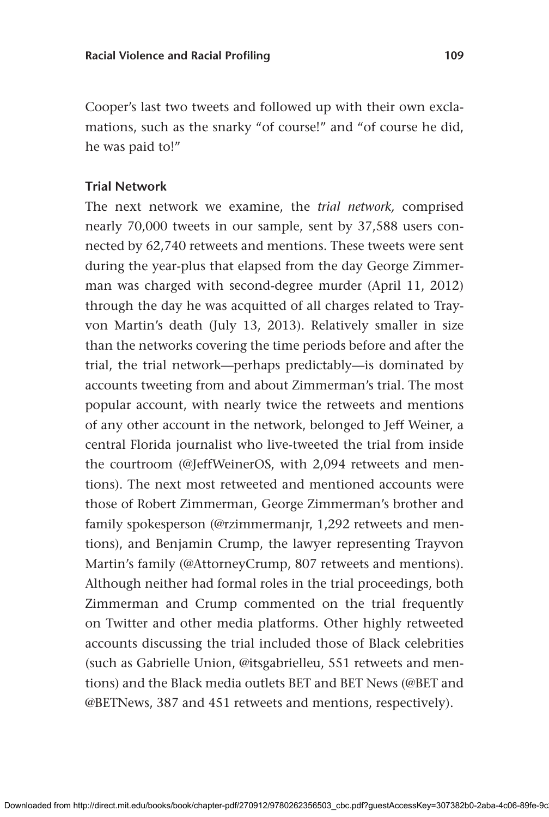Cooper's last two tweets and followed up with their own exclamations, such as the snarky "of course!" and "of course he did, he was paid to!"

## **Trial Network**

The next network we examine, the *trial network,* comprised nearly 70,000 tweets in our sample, sent by 37,588 users connected by 62,740 retweets and mentions. These tweets were sent during the year-plus that elapsed from the day George Zimmerman was charged with second-degree murder (April 11, 2012) through the day he was acquitted of all charges related to Trayvon Martin's death (July 13, 2013). Relatively smaller in size than the networks covering the time periods before and after the trial, the trial network—perhaps predictably—is dominated by accounts tweeting from and about Zimmerman's trial. The most popular account, with nearly twice the retweets and mentions of any other account in the network, belonged to Jeff Weiner, a central Florida journalist who live-tweeted the trial from inside the courtroom (@JeffWeinerOS, with 2,094 retweets and mentions). The next most retweeted and mentioned accounts were those of Robert Zimmerman, George Zimmerman's brother and family spokesperson (@rzimmermanjr, 1,292 retweets and mentions), and Benjamin Crump, the lawyer representing Trayvon Martin's family (@AttorneyCrump, 807 retweets and mentions). Although neither had formal roles in the trial proceedings, both Zimmerman and Crump commented on the trial frequently on Twitter and other media platforms. Other highly retweeted accounts discussing the trial included those of Black celebrities (such as Gabrielle Union, @itsgabrielleu, 551 retweets and mentions) and the Black media outlets BET and BET News (@BET and @BETNews, 387 and 451 retweets and mentions, respectively).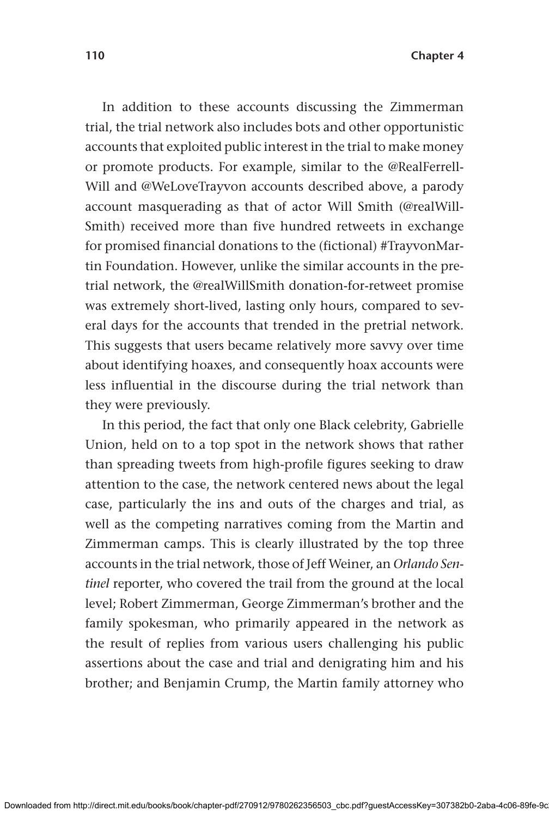**110 Chapter 4**

In addition to these accounts discussing the Zimmerman trial, the trial network also includes bots and other opportunistic accounts that exploited public interest in the trial to make money or promote products. For example, similar to the @RealFerrell-Will and @WeLoveTrayvon accounts described above, a parody account masquerading as that of actor Will Smith (@realWill-Smith) received more than five hundred retweets in exchange for promised financial donations to the (fictional) #TrayvonMartin Foundation. However, unlike the similar accounts in the pretrial network, the @realWillSmith donation-for-retweet promise was extremely short-lived, lasting only hours, compared to several days for the accounts that trended in the pretrial network. This suggests that users became relatively more savvy over time about identifying hoaxes, and consequently hoax accounts were less influential in the discourse during the trial network than they were previously.

In this period, the fact that only one Black celebrity, Gabrielle Union, held on to a top spot in the network shows that rather than spreading tweets from high-profile figures seeking to draw attention to the case, the network centered news about the legal case, particularly the ins and outs of the charges and trial, as well as the competing narratives coming from the Martin and Zimmerman camps. This is clearly illustrated by the top three accounts in the trial network, those of Jeff Weiner, an *Orlando Sentinel* reporter, who covered the trail from the ground at the local level; Robert Zimmerman, George Zimmerman's brother and the family spokesman, who primarily appeared in the network as the result of replies from various users challenging his public assertions about the case and trial and denigrating him and his brother; and Benjamin Crump, the Martin family attorney who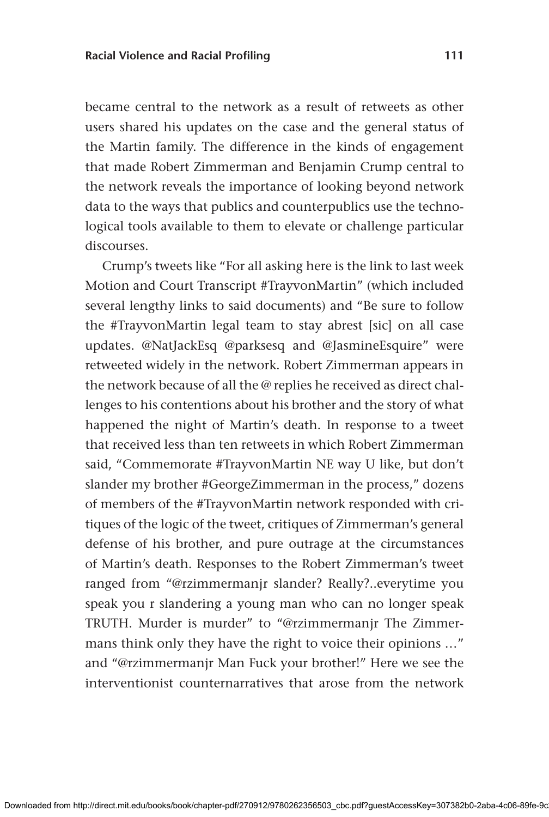became central to the network as a result of retweets as other users shared his updates on the case and the general status of the Martin family. The difference in the kinds of engagement that made Robert Zimmerman and Benjamin Crump central to the network reveals the importance of looking beyond network data to the ways that publics and counterpublics use the technological tools available to them to elevate or challenge particular discourses.

Crump's tweets like "For all asking here is the link to last week Motion and Court Transcript #TrayvonMartin" (which included several lengthy links to said documents) and "Be sure to follow the #TrayvonMartin legal team to stay abrest [sic] on all case updates. @NatJackEsq @parksesq and @JasmineEsquire" were retweeted widely in the network. Robert Zimmerman appears in the network because of all the @ replies he received as direct challenges to his contentions about his brother and the story of what happened the night of Martin's death. In response to a tweet that received less than ten retweets in which Robert Zimmerman said, "Commemorate #TrayvonMartin NE way U like, but don't slander my brother #GeorgeZimmerman in the process," dozens of members of the #TrayvonMartin network responded with critiques of the logic of the tweet, critiques of Zimmerman's general defense of his brother, and pure outrage at the circumstances of Martin's death. Responses to the Robert Zimmerman's tweet ranged from "@rzimmermanjr slander? Really?..everytime you speak you r slandering a young man who can no longer speak TRUTH. Murder is murder" to "@rzimmermanjr The Zimmermans think only they have the right to voice their opinions ..." and "@rzimmermanjr Man Fuck your brother!" Here we see the interventionist counternarratives that arose from the network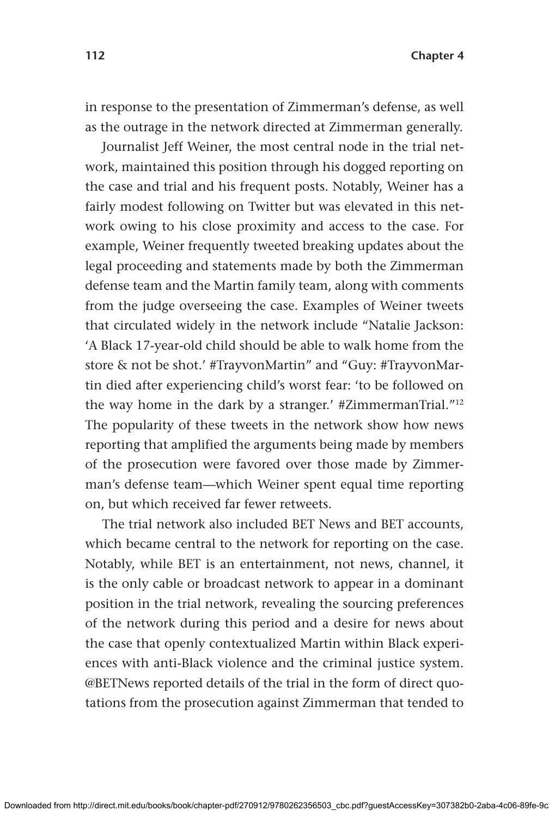in response to the presentation of Zimmerman's defense, as well as the outrage in the network directed at Zimmerman generally.

Journalist Jeff Weiner, the most central node in the trial network, maintained this position through his dogged reporting on the case and trial and his frequent posts. Notably, Weiner has a fairly modest following on Twitter but was elevated in this network owing to his close proximity and access to the case. For example, Weiner frequently tweeted breaking updates about the legal proceeding and statements made by both the Zimmerman defense team and the Martin family team, along with comments from the judge overseeing the case. Examples of Weiner tweets that circulated widely in the network include "Natalie Jackson: 'A Black 17-year-old child should be able to walk home from the store & not be shot.' #TrayvonMartin" and "Guy: #TrayvonMartin died after experiencing child's worst fear: 'to be followed on the way home in the dark by a stranger.' #ZimmermanTrial."12 The popularity of these tweets in the network show how news reporting that amplified the arguments being made by members of the prosecution were favored over those made by Zimmerman's defense team—which Weiner spent equal time reporting on, but which received far fewer retweets.

The trial network also included BET News and BET accounts, which became central to the network for reporting on the case. Notably, while BET is an entertainment, not news, channel, it is the only cable or broadcast network to appear in a dominant position in the trial network, revealing the sourcing preferences of the network during this period and a desire for news about the case that openly contextualized Martin within Black experiences with anti-Black violence and the criminal justice system. @BETNews reported details of the trial in the form of direct quotations from the prosecution against Zimmerman that tended to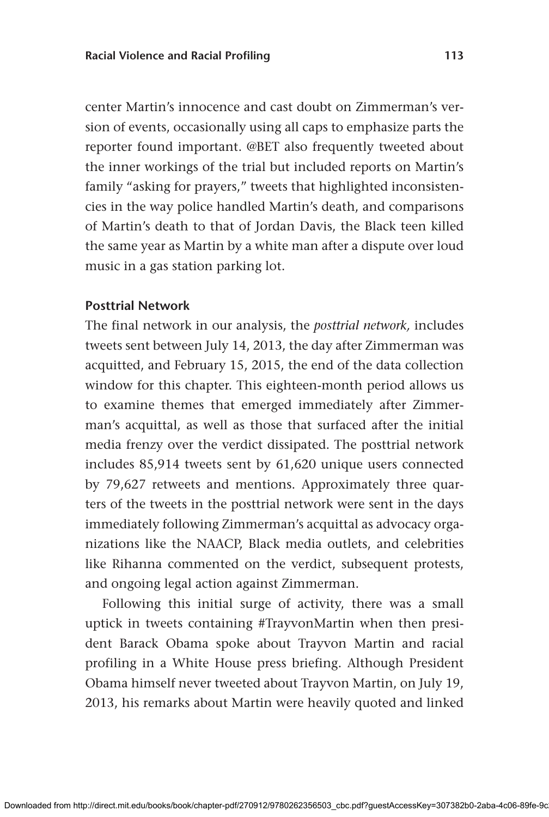center Martin's innocence and cast doubt on Zimmerman's version of events, occasionally using all caps to emphasize parts the reporter found important. @BET also frequently tweeted about the inner workings of the trial but included reports on Martin's family "asking for prayers," tweets that highlighted inconsistencies in the way police handled Martin's death, and comparisons of Martin's death to that of Jordan Davis, the Black teen killed the same year as Martin by a white man after a dispute over loud music in a gas station parking lot.

#### **Posttrial Network**

The final network in our analysis, the *posttrial network,* includes tweets sent between July 14, 2013, the day after Zimmerman was acquitted, and February 15, 2015, the end of the data collection window for this chapter. This eighteen-month period allows us to examine themes that emerged immediately after Zimmerman's acquittal, as well as those that surfaced after the initial media frenzy over the verdict dissipated. The posttrial network includes 85,914 tweets sent by 61,620 unique users connected by 79,627 retweets and mentions. Approximately three quarters of the tweets in the posttrial network were sent in the days immediately following Zimmerman's acquittal as advocacy organizations like the NAACP, Black media outlets, and celebrities like Rihanna commented on the verdict, subsequent protests, and ongoing legal action against Zimmerman.

Following this initial surge of activity, there was a small uptick in tweets containing #TrayvonMartin when then president Barack Obama spoke about Trayvon Martin and racial profiling in a White House press briefing. Although President Obama himself never tweeted about Trayvon Martin, on July 19, 2013, his remarks about Martin were heavily quoted and linked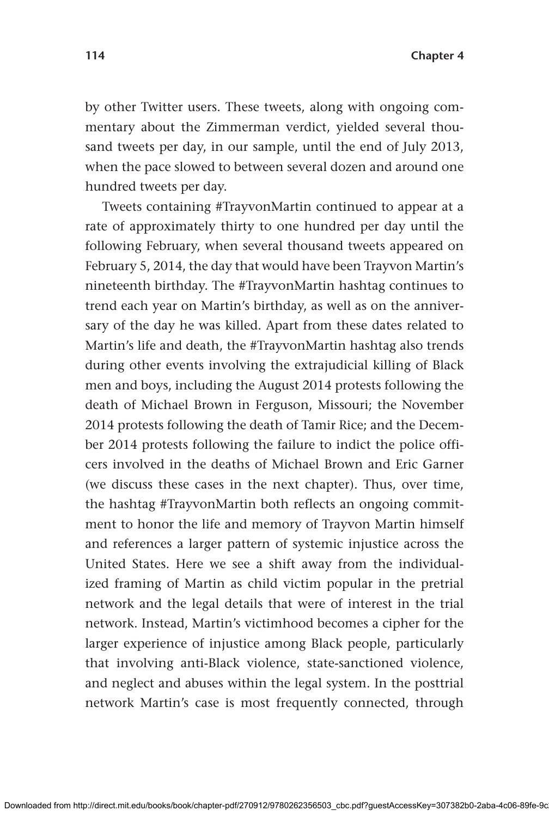by other Twitter users. These tweets, along with ongoing commentary about the Zimmerman verdict, yielded several thousand tweets per day, in our sample, until the end of July 2013, when the pace slowed to between several dozen and around one hundred tweets per day.

Tweets containing #TrayvonMartin continued to appear at a rate of approximately thirty to one hundred per day until the following February, when several thousand tweets appeared on February 5, 2014, the day that would have been Trayvon Martin's nineteenth birthday. The #TrayvonMartin hashtag continues to trend each year on Martin's birthday, as well as on the anniversary of the day he was killed. Apart from these dates related to Martin's life and death, the #TrayvonMartin hashtag also trends during other events involving the extrajudicial killing of Black men and boys, including the August 2014 protests following the death of Michael Brown in Ferguson, Missouri; the November 2014 protests following the death of Tamir Rice; and the December 2014 protests following the failure to indict the police officers involved in the deaths of Michael Brown and Eric Garner (we discuss these cases in the next chapter). Thus, over time, the hashtag #TrayvonMartin both reflects an ongoing commitment to honor the life and memory of Trayvon Martin himself and references a larger pattern of systemic injustice across the United States. Here we see a shift away from the individualized framing of Martin as child victim popular in the pretrial network and the legal details that were of interest in the trial network. Instead, Martin's victimhood becomes a cipher for the larger experience of injustice among Black people, particularly that involving anti-Black violence, state-sanctioned violence, and neglect and abuses within the legal system. In the posttrial network Martin's case is most frequently connected, through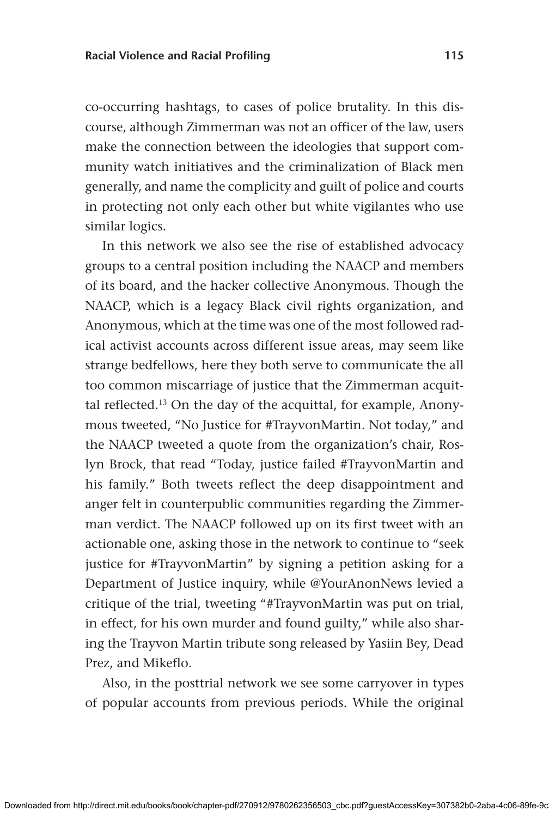co-occurring hashtags, to cases of police brutality. In this discourse, although Zimmerman was not an officer of the law, users make the connection between the ideologies that support community watch initiatives and the criminalization of Black men generally, and name the complicity and guilt of police and courts in protecting not only each other but white vigilantes who use similar logics.

In this network we also see the rise of established advocacy groups to a central position including the NAACP and members of its board, and the hacker collective Anonymous. Though the NAACP, which is a legacy Black civil rights organization, and Anonymous, which at the time was one of the most followed radical activist accounts across different issue areas, may seem like strange bedfellows, here they both serve to communicate the all too common miscarriage of justice that the Zimmerman acquittal reflected.13 On the day of the acquittal, for example, Anonymous tweeted, "No Justice for #TrayvonMartin. Not today," and the NAACP tweeted a quote from the organization's chair, Roslyn Brock, that read "Today, justice failed #TrayvonMartin and his family." Both tweets reflect the deep disappointment and anger felt in counterpublic communities regarding the Zimmerman verdict. The NAACP followed up on its first tweet with an actionable one, asking those in the network to continue to "seek justice for #TrayvonMartin" by signing a petition asking for a Department of Justice inquiry, while @YourAnonNews levied a critique of the trial, tweeting "#TrayvonMartin was put on trial, in effect, for his own murder and found guilty," while also sharing the Trayvon Martin tribute song released by Yasiin Bey, Dead Prez, and Mikeflo.

Also, in the posttrial network we see some carryover in types of popular accounts from previous periods. While the original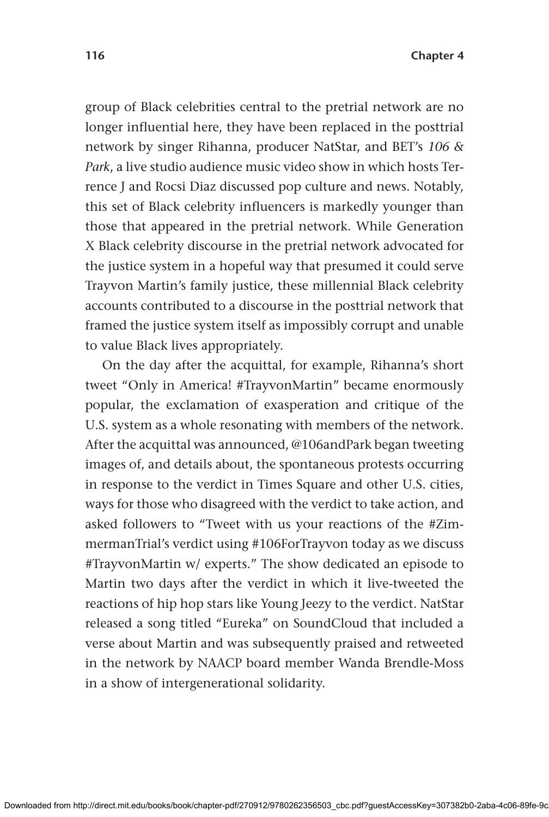group of Black celebrities central to the pretrial network are no longer influential here, they have been replaced in the posttrial network by singer Rihanna, producer NatStar, and BET's *106 & Park*, a live studio audience music video show in which hosts Terrence J and Rocsi Diaz discussed pop culture and news. Notably, this set of Black celebrity influencers is markedly younger than those that appeared in the pretrial network. While Generation X Black celebrity discourse in the pretrial network advocated for the justice system in a hopeful way that presumed it could serve Trayvon Martin's family justice, these millennial Black celebrity accounts contributed to a discourse in the posttrial network that framed the justice system itself as impossibly corrupt and unable to value Black lives appropriately.

On the day after the acquittal, for example, Rihanna's short tweet "Only in America! #TrayvonMartin" became enormously popular, the exclamation of exasperation and critique of the U.S. system as a whole resonating with members of the network. After the acquittal was announced, @106andPark began tweeting images of, and details about, the spontaneous protests occurring in response to the verdict in Times Square and other U.S. cities, ways for those who disagreed with the verdict to take action, and asked followers to "Tweet with us your reactions of the #ZimmermanTrial's verdict using #106ForTrayvon today as we discuss #TrayvonMartin w/ experts." The show dedicated an episode to Martin two days after the verdict in which it live-tweeted the reactions of hip hop stars like Young Jeezy to the verdict. NatStar released a song titled "Eureka" on SoundCloud that included a verse about Martin and was subsequently praised and retweeted in the network by NAACP board member Wanda Brendle-Moss in a show of intergenerational solidarity.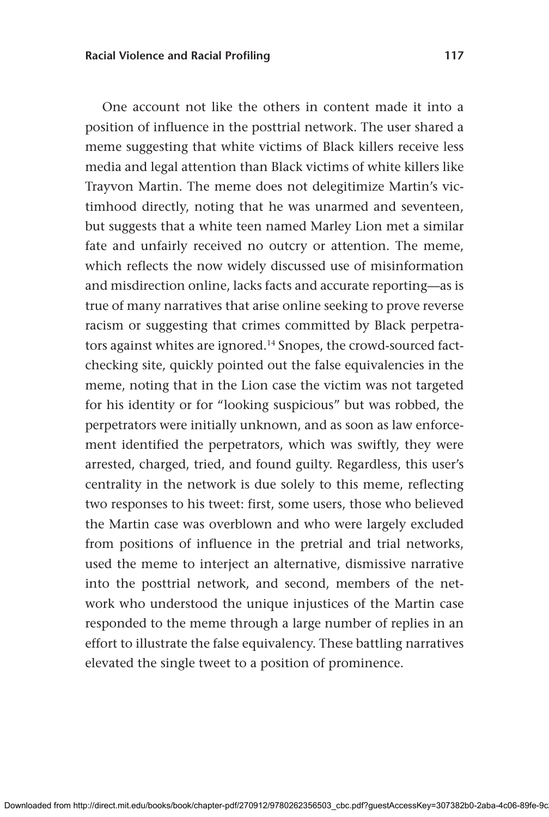One account not like the others in content made it into a position of influence in the posttrial network. The user shared a meme suggesting that white victims of Black killers receive less media and legal attention than Black victims of white killers like Trayvon Martin. The meme does not delegitimize Martin's victimhood directly, noting that he was unarmed and seventeen, but suggests that a white teen named Marley Lion met a similar fate and unfairly received no outcry or attention. The meme, which reflects the now widely discussed use of misinformation and misdirection online, lacks facts and accurate reporting—as is true of many narratives that arise online seeking to prove reverse racism or suggesting that crimes committed by Black perpetrators against whites are ignored.<sup>14</sup> Snopes, the crowd-sourced factchecking site, quickly pointed out the false equivalencies in the meme, noting that in the Lion case the victim was not targeted for his identity or for "looking suspicious" but was robbed, the perpetrators were initially unknown, and as soon as law enforcement identified the perpetrators, which was swiftly, they were arrested, charged, tried, and found guilty. Regardless, this user's centrality in the network is due solely to this meme, reflecting two responses to his tweet: first, some users, those who believed the Martin case was overblown and who were largely excluded from positions of influence in the pretrial and trial networks, used the meme to interject an alternative, dismissive narrative into the posttrial network, and second, members of the network who understood the unique injustices of the Martin case responded to the meme through a large number of replies in an effort to illustrate the false equivalency. These battling narratives elevated the single tweet to a position of prominence.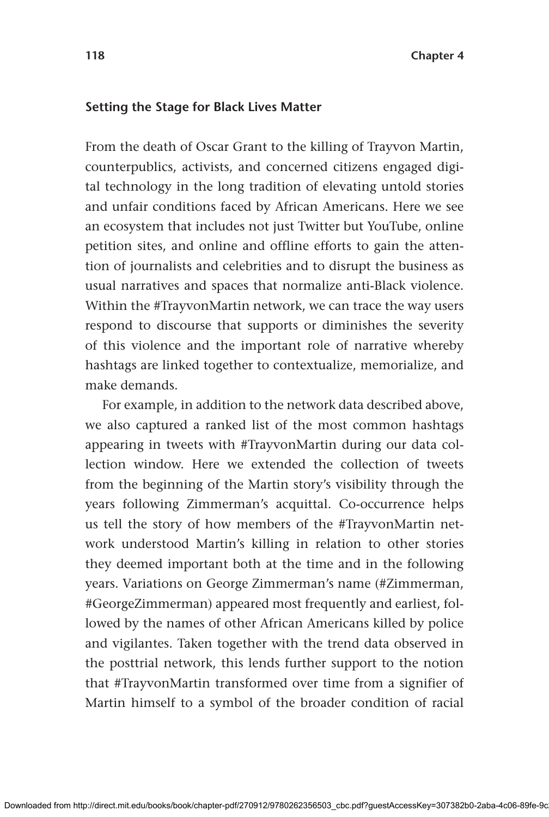#### **Setting the Stage for Black Lives Matter**

From the death of Oscar Grant to the killing of Trayvon Martin, counterpublics, activists, and concerned citizens engaged digital technology in the long tradition of elevating untold stories and unfair conditions faced by African Americans. Here we see an ecosystem that includes not just Twitter but YouTube, online petition sites, and online and offline efforts to gain the attention of journalists and celebrities and to disrupt the business as usual narratives and spaces that normalize anti-Black violence. Within the #TrayvonMartin network, we can trace the way users respond to discourse that supports or diminishes the severity of this violence and the important role of narrative whereby hashtags are linked together to contextualize, memorialize, and make demands.

For example, in addition to the network data described above, we also captured a ranked list of the most common hashtags appearing in tweets with #TrayvonMartin during our data collection window. Here we extended the collection of tweets from the beginning of the Martin story's visibility through the years following Zimmerman's acquittal. Co-occurrence helps us tell the story of how members of the #TrayvonMartin network understood Martin's killing in relation to other stories they deemed important both at the time and in the following years. Variations on George Zimmerman's name (#Zimmerman, #GeorgeZimmerman) appeared most frequently and earliest, followed by the names of other African Americans killed by police and vigilantes. Taken together with the trend data observed in the posttrial network, this lends further support to the notion that #TrayvonMartin transformed over time from a signifier of Martin himself to a symbol of the broader condition of racial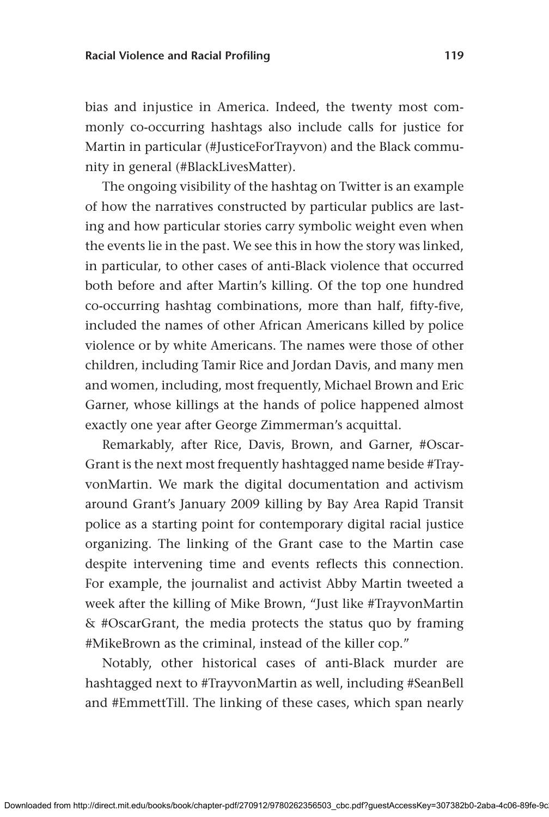bias and injustice in America. Indeed, the twenty most commonly co-occurring hashtags also include calls for justice for Martin in particular (#JusticeForTrayvon) and the Black community in general (#BlackLivesMatter).

The ongoing visibility of the hashtag on Twitter is an example of how the narratives constructed by particular publics are lasting and how particular stories carry symbolic weight even when the events lie in the past. We see this in how the story was linked, in particular, to other cases of anti-Black violence that occurred both before and after Martin's killing. Of the top one hundred co-occurring hashtag combinations, more than half, fifty-five, included the names of other African Americans killed by police violence or by white Americans. The names were those of other children, including Tamir Rice and Jordan Davis, and many men and women, including, most frequently, Michael Brown and Eric Garner, whose killings at the hands of police happened almost exactly one year after George Zimmerman's acquittal.

Remarkably, after Rice, Davis, Brown, and Garner, #Oscar-Grant is the next most frequently hashtagged name beside #TrayvonMartin. We mark the digital documentation and activism around Grant's January 2009 killing by Bay Area Rapid Transit police as a starting point for contemporary digital racial justice organizing. The linking of the Grant case to the Martin case despite intervening time and events reflects this connection. For example, the journalist and activist Abby Martin tweeted a week after the killing of Mike Brown, "Just like #TrayvonMartin & #OscarGrant, the media protects the status quo by framing #MikeBrown as the criminal, instead of the killer cop."

Notably, other historical cases of anti-Black murder are hashtagged next to #TrayvonMartin as well, including #SeanBell and #EmmettTill. The linking of these cases, which span nearly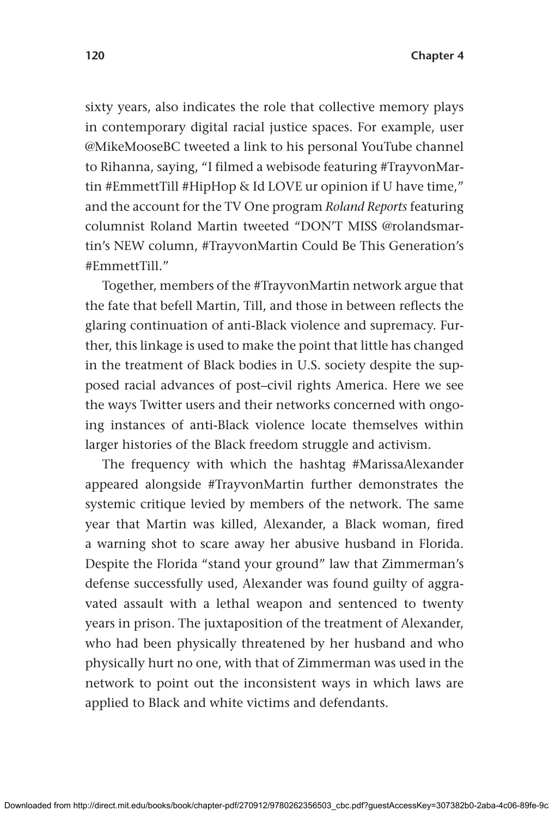sixty years, also indicates the role that collective memory plays in contemporary digital racial justice spaces. For example, user @MikeMooseBC tweeted a link to his personal YouTube channel to Rihanna, saying, "I filmed a webisode featuring #TrayvonMartin #EmmettTill #HipHop & Id LOVE ur opinion if U have time," and the account for the TV One program *Roland Reports* featuring columnist Roland Martin tweeted "DON'T MISS @rolandsmartin's NEW column, #TrayvonMartin Could Be This Generation's #EmmettTill."

Together, members of the #TrayvonMartin network argue that the fate that befell Martin, Till, and those in between reflects the glaring continuation of anti-Black violence and supremacy. Further, this linkage is used to make the point that little has changed in the treatment of Black bodies in U.S. society despite the supposed racial advances of post–civil rights America. Here we see the ways Twitter users and their networks concerned with ongoing instances of anti-Black violence locate themselves within larger histories of the Black freedom struggle and activism.

The frequency with which the hashtag #MarissaAlexander appeared alongside #TrayvonMartin further demonstrates the systemic critique levied by members of the network. The same year that Martin was killed, Alexander, a Black woman, fired a warning shot to scare away her abusive husband in Florida. Despite the Florida "stand your ground" law that Zimmerman's defense successfully used, Alexander was found guilty of aggravated assault with a lethal weapon and sentenced to twenty years in prison. The juxtaposition of the treatment of Alexander, who had been physically threatened by her husband and who physically hurt no one, with that of Zimmerman was used in the network to point out the inconsistent ways in which laws are applied to Black and white victims and defendants.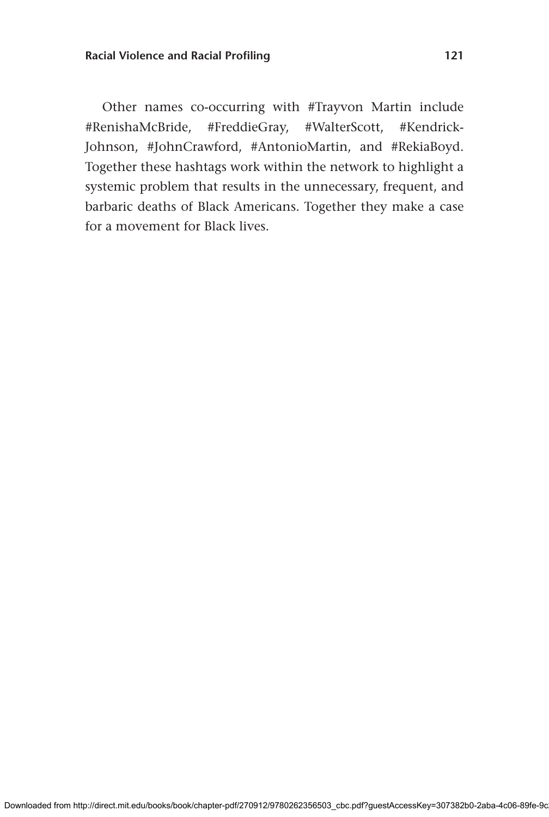Other names co-occurring with #Trayvon Martin include #RenishaMcBride, #FreddieGray, #WalterScott, #Kendrick-Johnson, #JohnCrawford, #AntonioMartin, and #RekiaBoyd. Together these hashtags work within the network to highlight a systemic problem that results in the unnecessary, frequent, and barbaric deaths of Black Americans. Together they make a case for a movement for Black lives.